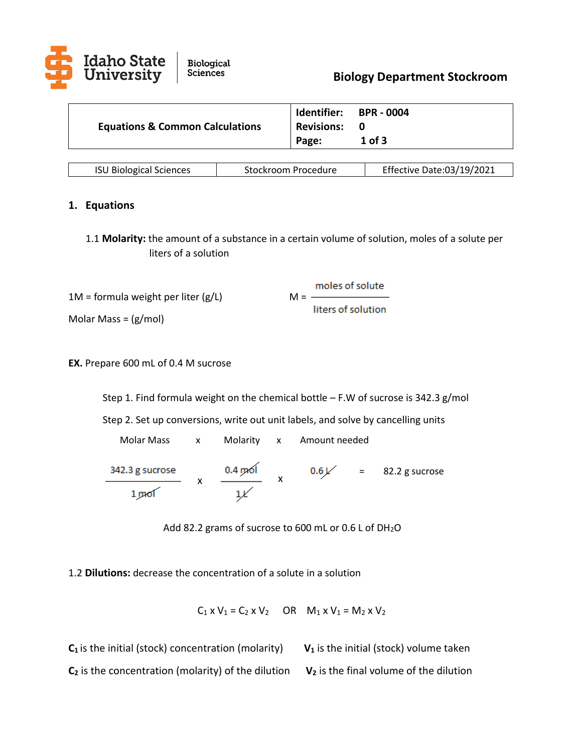

|                                            | Identifier:       | <b>BPR - 0004</b> |
|--------------------------------------------|-------------------|-------------------|
| <b>Equations &amp; Common Calculations</b> | <b>Revisions:</b> |                   |
|                                            | Page:             | $1$ of 3          |

| <b>ISU Biological Sciences</b> | Stockroom Procedure | Effective Date:03/19/2021 |
|--------------------------------|---------------------|---------------------------|
|--------------------------------|---------------------|---------------------------|

### **1. Equations**

1.1 **Molarity:** the amount of a substance in a certain volume of solution, moles of a solute per liters of a solution

moles of solute

liters of solution

 $1M =$  formula weight per liter (g/L)  $M = -$ 

Molar Mass = (g/mol)

**EX.** Prepare 600 mL of 0.4 M sucrose

Step 1. Find formula weight on the chemical bottle – F.W of sucrose is 342.3 g/mol

Step 2. Set up conversions, write out unit labels, and solve by cancelling units

 Molar Mass x Molarity x Amount needed $x \frac{0.4 \text{ mol}}{x}$ 342.3 g sucrose  $0.6$  /  $=$  82.2 g sucrose  $1 \text{ mol}$ 

Add 82.2 grams of sucrose to 600 mL or 0.6 L of DH<sub>2</sub>O

1.2 **Dilutions:** decrease the concentration of a solute in a solution

 $C_1$  x  $V_1 = C_2$  x  $V_2$  OR  $M_1$  x  $V_1 = M_2$  x  $V_2$ 

 $C_1$  is the initial (stock) concentration (molarity)  $V_1$  is the initial (stock) volume taken **C<sup>2</sup>** is the concentration (molarity) of the dilution **V<sup>2</sup>** is the final volume of the dilution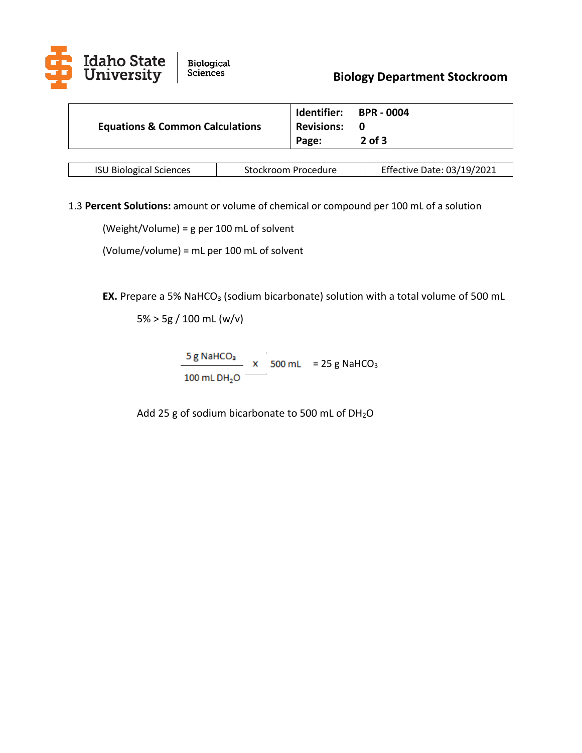

|                                            |                   | Identifier: BPR - 0004 |
|--------------------------------------------|-------------------|------------------------|
| <b>Equations &amp; Common Calculations</b> | <b>Revisions:</b> | - 0                    |
|                                            | Page:             | $2$ of 3               |

| <b>ISU Biological Sciences</b> | Stockroom Procedure | Effective Date: 03/19/2021 |
|--------------------------------|---------------------|----------------------------|
|--------------------------------|---------------------|----------------------------|

1.3 **Percent Solutions:** amount or volume of chemical or compound per 100 mL of a solution

(Weight/Volume) = g per 100 mL of solvent

(Volume/volume) = mL per 100 mL of solvent

**EX.** Prepare a 5% NaHCO<sub>3</sub> (sodium bicarbonate) solution with a total volume of 500 mL

5% > 5g / 100 mL (w/v)

 $\frac{5 \text{ g NaHCO}_3}{2}$  x 500 mL = 25 g NaHCO<sub>3</sub> 100 mL DH<sub>2</sub>O

Add 25 g of sodium bicarbonate to 500 mL of DH2O